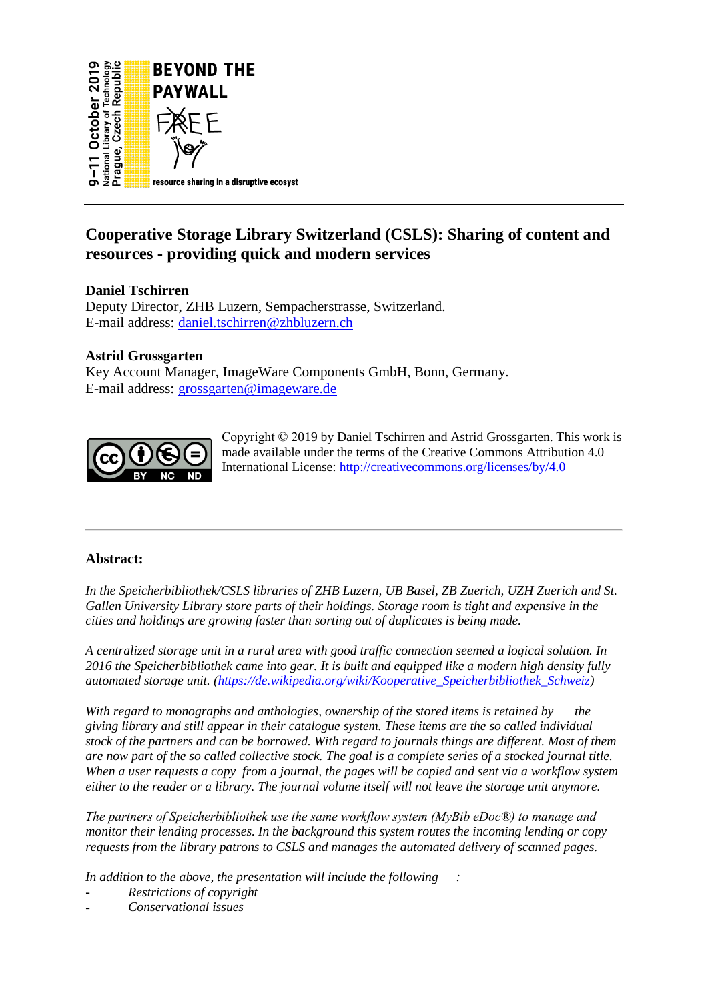

# **Cooperative Storage Library Switzerland (CSLS): Sharing of content and resources - providing quick and modern services**

# **Daniel Tschirren**

Deputy Director, ZHB Luzern, Sempacherstrasse, Switzerland. E-mail address: [daniel.tschirren@zhbluzern.ch](mailto:daniel.tschirren@zhbluzern.ch)

# **Astrid Grossgarten**

Key Account Manager, ImageWare Components GmbH, Bonn, Germany. E-mail address: [grossgarten@imageware.de](about:blank)



Copyright © 2019 by Daniel Tschirren and Astrid Grossgarten. This work is made available under the terms of the Creative Commons Attribution 4.0 International License:<http://creativecommons.org/licenses/by/4.0>

## **Abstract:**

*In the Speicherbibliothek/CSLS libraries of ZHB Luzern, UB Basel, ZB Zuerich, UZH Zuerich and St. Gallen University Library store parts of their holdings. Storage room is tight and expensive in the cities and holdings are growing faster than sorting out of duplicates is being made.* 

*A centralized storage unit in a rural area with good traffic connection seemed a logical solution. In 2016 the Speicherbibliothek came into gear. It is built and equipped like a modern high density fully automated storage unit. [\(https://de.wikipedia.org/wiki/Kooperative\\_Speicherbibliothek\\_Schweiz\)](https://de.wikipedia.org/wiki/Kooperative_Speicherbibliothek_Schweiz)*

*With regard to monographs and anthologies, ownership of the stored items is retained by the giving library and still appear in their catalogue system. These items are the so called individual stock of the partners and can be borrowed. With regard to journals things are different. Most of them are now part of the so called collective stock. The goal is a complete series of a stocked journal title. When a user requests a copy from a journal, the pages will be copied and sent via a workflow system either to the reader or a library. The journal volume itself will not leave the storage unit anymore.* 

*The partners of Speicherbibliothek use the same workflow system (MyBib eDoc®) to manage and monitor their lending processes. In the background this system routes the incoming lending or copy requests from the library patrons to CSLS and manages the automated delivery of scanned pages.* 

*In addition to the above, the presentation will include the following :*

- *Restrictions of copyright*
- *Conservational issues*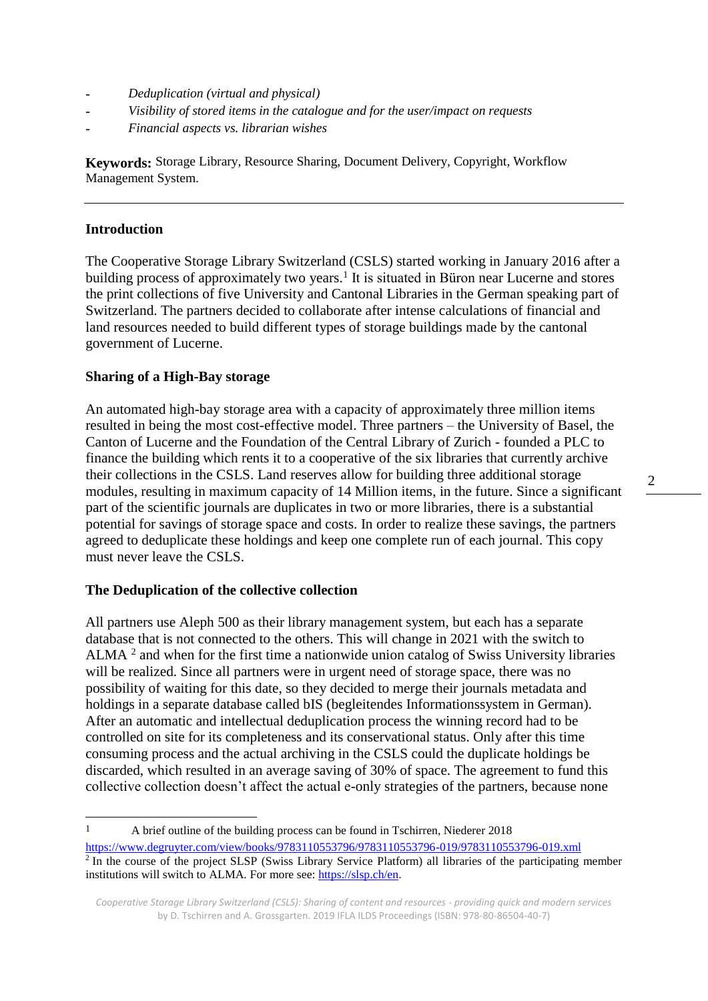- *Deduplication (virtual and physical)*
- *Visibility of stored items in the catalogue and for the user/impact on requests*
- *Financial aspects vs. librarian wishes*

**Keywords:** Storage Library, Resource Sharing, Document Delivery, Copyright, Workflow Management System.

## **Introduction**

 $\overline{a}$ 

The Cooperative Storage Library Switzerland (CSLS) started working in January 2016 after a building process of approximately two years.<sup>1</sup> It is situated in Büron near Lucerne and stores the print collections of five University and Cantonal Libraries in the German speaking part of Switzerland. The partners decided to collaborate after intense calculations of financial and land resources needed to build different types of storage buildings made by the cantonal government of Lucerne.

## **Sharing of a High-Bay storage**

An automated high-bay storage area with a capacity of approximately three million items resulted in being the most cost-effective model. Three partners – the University of Basel, the Canton of Lucerne and the Foundation of the Central Library of Zurich - founded a PLC to finance the building which rents it to a cooperative of the six libraries that currently archive their collections in the CSLS. Land reserves allow for building three additional storage modules, resulting in maximum capacity of 14 Million items, in the future. Since a significant part of the scientific journals are duplicates in two or more libraries, there is a substantial potential for savings of storage space and costs. In order to realize these savings, the partners agreed to deduplicate these holdings and keep one complete run of each journal. This copy must never leave the CSLS.

#### **The Deduplication of the collective collection**

All partners use Aleph 500 as their library management system, but each has a separate database that is not connected to the others. This will change in 2021 with the switch to ALMA<sup>2</sup> and when for the first time a nationwide union catalog of Swiss University libraries will be realized. Since all partners were in urgent need of storage space, there was no possibility of waiting for this date, so they decided to merge their journals metadata and holdings in a separate database called bIS (begleitendes Informationssystem in German). After an automatic and intellectual deduplication process the winning record had to be controlled on site for its completeness and its conservational status. Only after this time consuming process and the actual archiving in the CSLS could the duplicate holdings be discarded, which resulted in an average saving of 30% of space. The agreement to fund this collective collection doesn't affect the actual e-only strategies of the partners, because none

<sup>1</sup> A brief outline of the building process can be found in Tschirren, Niederer 2018 <https://www.degruyter.com/view/books/9783110553796/9783110553796-019/9783110553796-019.xml><br><sup>2</sup> In the course of the project SLSP (Swiss Library Service Platform) all libraries of the participating member institutions will switch to ALMA. For more see: [https://slsp.ch/en.](https://slsp.ch/en)

*Cooperative Storage Library Switzerland (CSLS): Sharing of content and resources - providing quick and modern services*  by D. Tschirren and A. Grossgarten. 2019 IFLA ILDS Proceedings (ISBN: 978-80-86504-40-7)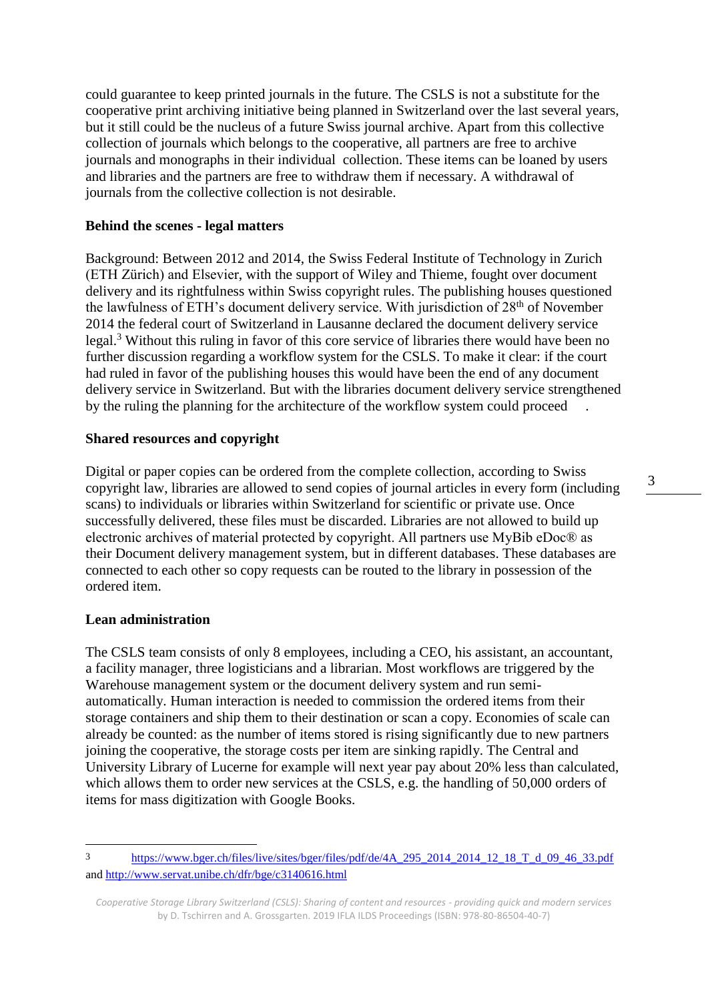could guarantee to keep printed journals in the future. The CSLS is not a substitute for the cooperative print archiving initiative being planned in Switzerland over the last several years, but it still could be the nucleus of a future Swiss journal archive. Apart from this collective collection of journals which belongs to the cooperative, all partners are free to archive journals and monographs in their individual collection. These items can be loaned by users and libraries and the partners are free to withdraw them if necessary. A withdrawal of journals from the collective collection is not desirable.

#### **Behind the scenes - legal matters**

Background: Between 2012 and 2014, the Swiss Federal Institute of Technology in Zurich (ETH Zürich) and Elsevier, with the support of Wiley and Thieme, fought over document delivery and its rightfulness within Swiss copyright rules. The publishing houses questioned the lawfulness of ETH's document delivery service. With jurisdiction of 28<sup>th</sup> of November 2014 the federal court of Switzerland in Lausanne declared the document delivery service legal.<sup>3</sup> Without this ruling in favor of this core service of libraries there would have been no further discussion regarding a workflow system for the CSLS. To make it clear: if the court had ruled in favor of the publishing houses this would have been the end of any document delivery service in Switzerland. But with the libraries document delivery service strengthened by the ruling the planning for the architecture of the workflow system could proceed .

## **Shared resources and copyright**

Digital or paper copies can be ordered from the complete collection, according to Swiss copyright law, libraries are allowed to send copies of journal articles in every form (including scans) to individuals or libraries within Switzerland for scientific or private use. Once successfully delivered, these files must be discarded. Libraries are not allowed to build up electronic archives of material protected by copyright. All partners use MyBib eDoc® as their Document delivery management system, but in different databases. These databases are connected to each other so copy requests can be routed to the library in possession of the ordered item.

## **Lean administration**

 $\overline{a}$ 

The CSLS team consists of only 8 employees, including a CEO, his assistant, an accountant, a facility manager, three logisticians and a librarian. Most workflows are triggered by the Warehouse management system or the document delivery system and run semiautomatically. Human interaction is needed to commission the ordered items from their storage containers and ship them to their destination or scan a copy. Economies of scale can already be counted: as the number of items stored is rising significantly due to new partners joining the cooperative, the storage costs per item are sinking rapidly. The Central and University Library of Lucerne for example will next year pay about 20% less than calculated, which allows them to order new services at the CSLS, e.g. the handling of 50,000 orders of items for mass digitization with Google Books.

<sup>3</sup> [https://www.bger.ch/files/live/sites/bger/files/pdf/de/4A\\_295\\_2014\\_2014\\_12\\_18\\_T\\_d\\_09\\_46\\_33.pdf](https://www.bger.ch/files/live/sites/bger/files/pdf/de/4A_295_2014_2014_12_18_T_d_09_46_33.pdfhttp:/) and<http://www.servat.unibe.ch/dfr/bge/c3140616.html>

*Cooperative Storage Library Switzerland (CSLS): Sharing of content and resources - providing quick and modern services*  by D. Tschirren and A. Grossgarten. 2019 IFLA ILDS Proceedings (ISBN: 978-80-86504-40-7)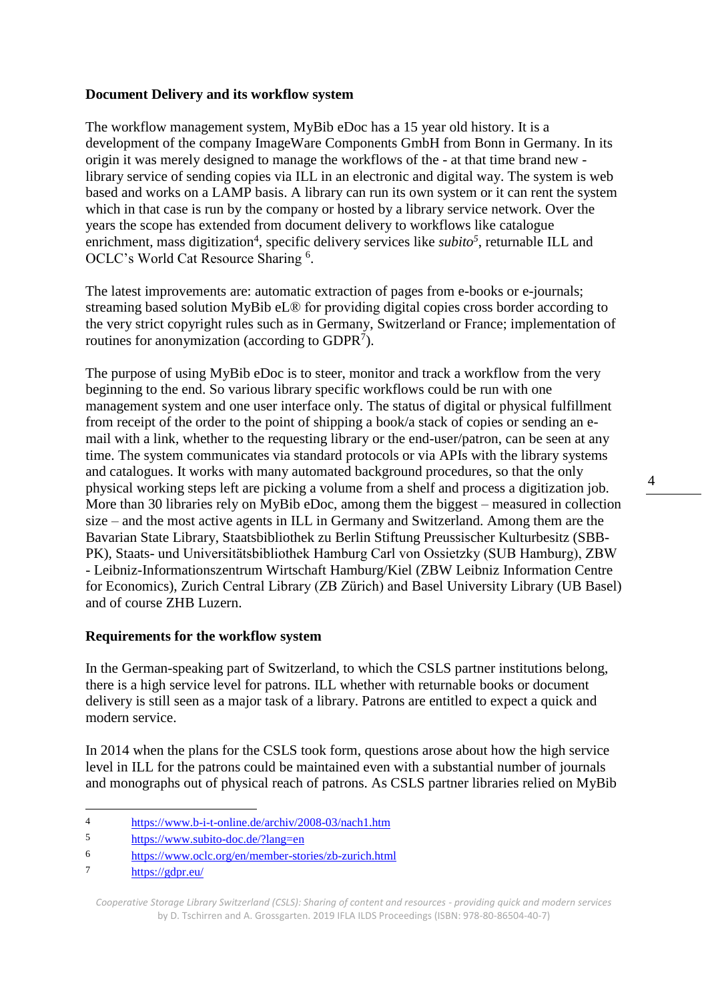# **Document Delivery and its workflow system**

The workflow management system, MyBib eDoc has a 15 year old history. It is a development of the company ImageWare Components GmbH from Bonn in Germany. In its origin it was merely designed to manage the workflows of the - at that time brand new library service of sending copies via ILL in an electronic and digital way. The system is web based and works on a LAMP basis. A library can run its own system or it can rent the system which in that case is run by the company or hosted by a library service network. Over the years the scope has extended from document delivery to workflows like catalogue enrichment, mass digitization<sup>4</sup>, specific delivery services like *subito<sup>5</sup>*, returnable ILL and OCLC's World Cat Resource Sharing <sup>6</sup>.

The latest improvements are: automatic extraction of pages from e-books or e-journals; streaming based solution MyBib eL® for providing digital copies cross border according to the very strict copyright rules such as in Germany, Switzerland or France; implementation of routines for anonymization (according to  $GDPR<sup>7</sup>$ ).

The purpose of using MyBib eDoc is to steer, monitor and track a workflow from the very beginning to the end. So various library specific workflows could be run with one management system and one user interface only. The status of digital or physical fulfillment from receipt of the order to the point of shipping a book/a stack of copies or sending an email with a link, whether to the requesting library or the end-user/patron, can be seen at any time. The system communicates via standard protocols or via APIs with the library systems and catalogues. It works with many automated background procedures, so that the only physical working steps left are picking a volume from a shelf and process a digitization job. More than 30 libraries rely on MyBib eDoc, among them the biggest – measured in collection size – and the most active agents in ILL in Germany and Switzerland. Among them are the Bavarian State Library, Staatsbibliothek zu Berlin Stiftung Preussischer Kulturbesitz (SBB-PK), Staats- und Universitätsbibliothek Hamburg Carl von Ossietzky (SUB Hamburg), ZBW - Leibniz-Informationszentrum Wirtschaft Hamburg/Kiel (ZBW Leibniz Information Centre for Economics), Zurich Central Library (ZB Zürich) and Basel University Library (UB Basel) and of course ZHB Luzern.

## **Requirements for the workflow system**

In the German-speaking part of Switzerland, to which the CSLS partner institutions belong, there is a high service level for patrons. ILL whether with returnable books or document delivery is still seen as a major task of a library. Patrons are entitled to expect a quick and modern service.

In 2014 when the plans for the CSLS took form, questions arose about how the high service level in ILL for the patrons could be maintained even with a substantial number of journals and monographs out of physical reach of patrons. As CSLS partner libraries relied on MyBib

 $\overline{a}$ 4 <https://www.b-i-t-online.de/archiv/2008-03/nach1.htm>

<sup>5</sup> <https://www.subito-doc.de/?lang=en>

<sup>6</sup> <https://www.oclc.org/en/member-stories/zb-zurich.html>

<sup>7</sup> <https://gdpr.eu/>

*Cooperative Storage Library Switzerland (CSLS): Sharing of content and resources - providing quick and modern services*  by D. Tschirren and A. Grossgarten. 2019 IFLA ILDS Proceedings (ISBN: 978-80-86504-40-7)